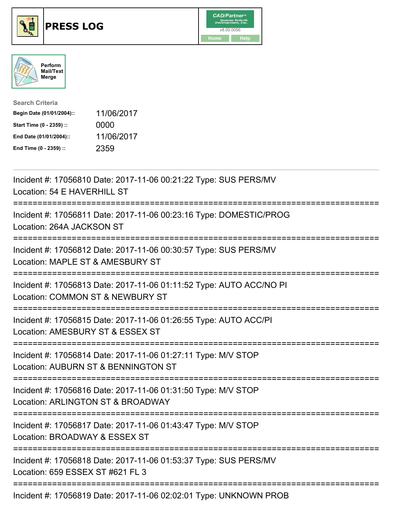





| <b>Search Criteria</b>    |            |
|---------------------------|------------|
| Begin Date (01/01/2004):: | 11/06/2017 |
| Start Time (0 - 2359) ::  | 0000       |
| End Date (01/01/2004)::   | 11/06/2017 |
| End Time (0 - 2359) ::    | 2359       |

| Incident #: 17056810 Date: 2017-11-06 00:21:22 Type: SUS PERS/MV<br>Location: 54 E HAVERHILL ST                                          |
|------------------------------------------------------------------------------------------------------------------------------------------|
| Incident #: 17056811 Date: 2017-11-06 00:23:16 Type: DOMESTIC/PROG<br>Location: 264A JACKSON ST                                          |
| Incident #: 17056812 Date: 2017-11-06 00:30:57 Type: SUS PERS/MV<br>Location: MAPLE ST & AMESBURY ST<br>:=====================           |
| Incident #: 17056813 Date: 2017-11-06 01:11:52 Type: AUTO ACC/NO PI<br>Location: COMMON ST & NEWBURY ST<br>============================= |
| Incident #: 17056815 Date: 2017-11-06 01:26:55 Type: AUTO ACC/PI<br>Location: AMESBURY ST & ESSEX ST<br>:=============================   |
| Incident #: 17056814 Date: 2017-11-06 01:27:11 Type: M/V STOP<br>Location: AUBURN ST & BENNINGTON ST                                     |
| Incident #: 17056816 Date: 2017-11-06 01:31:50 Type: M/V STOP<br>Location: ARLINGTON ST & BROADWAY                                       |
| Incident #: 17056817 Date: 2017-11-06 01:43:47 Type: M/V STOP<br>Location: BROADWAY & ESSEX ST                                           |
| Incident #: 17056818 Date: 2017-11-06 01:53:37 Type: SUS PERS/MV<br>Location: 659 ESSEX ST #621 FL 3                                     |
|                                                                                                                                          |

Incident #: 17056819 Date: 2017-11-06 02:02:01 Type: UNKNOWN PROB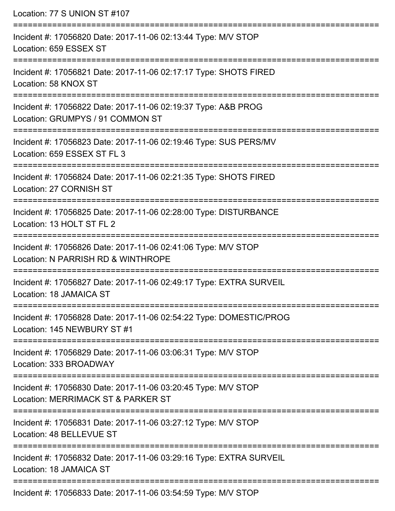| Location: 77 S UNION ST #107<br>:=================                                                                                                      |
|---------------------------------------------------------------------------------------------------------------------------------------------------------|
| Incident #: 17056820 Date: 2017-11-06 02:13:44 Type: M/V STOP<br>Location: 659 ESSEX ST                                                                 |
| Incident #: 17056821 Date: 2017-11-06 02:17:17 Type: SHOTS FIRED<br>Location: 58 KNOX ST<br>:===========================                                |
| Incident #: 17056822 Date: 2017-11-06 02:19:37 Type: A&B PROG<br>Location: GRUMPYS / 91 COMMON ST<br>:====================                              |
| Incident #: 17056823 Date: 2017-11-06 02:19:46 Type: SUS PERS/MV<br>Location: 659 ESSEX ST FL 3                                                         |
| Incident #: 17056824 Date: 2017-11-06 02:21:35 Type: SHOTS FIRED<br>Location: 27 CORNISH ST                                                             |
| Incident #: 17056825 Date: 2017-11-06 02:28:00 Type: DISTURBANCE<br>Location: 13 HOLT ST FL 2                                                           |
| Incident #: 17056826 Date: 2017-11-06 02:41:06 Type: M/V STOP<br>Location: N PARRISH RD & WINTHROPE                                                     |
| .====================<br>-----------------------------<br>Incident #: 17056827 Date: 2017-11-06 02:49:17 Type: EXTRA SURVEIL<br>Location: 18 JAMAICA ST |
| Incident #: 17056828 Date: 2017-11-06 02:54:22 Type: DOMESTIC/PROG<br>Location: 145 NEWBURY ST #1                                                       |
| Incident #: 17056829 Date: 2017-11-06 03:06:31 Type: M/V STOP<br>Location: 333 BROADWAY                                                                 |
| Incident #: 17056830 Date: 2017-11-06 03:20:45 Type: M/V STOP<br>Location: MERRIMACK ST & PARKER ST                                                     |
| Incident #: 17056831 Date: 2017-11-06 03:27:12 Type: M/V STOP<br>Location: 48 BELLEVUE ST                                                               |
| Incident #: 17056832 Date: 2017-11-06 03:29:16 Type: EXTRA SURVEIL<br>Location: 18 JAMAICA ST                                                           |
| Incident #: 17056833 Date: 2017-11-06 03:54:59 Type: MAI STOD                                                                                           |

Incident #: 17056833 Date: 2017-11-06 03:54:59 Type: M/V STOP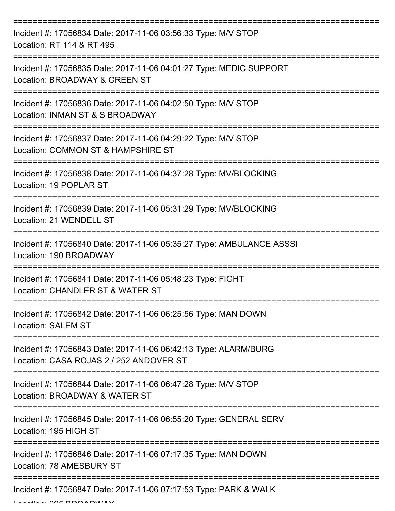| Incident #: 17056834 Date: 2017-11-06 03:56:33 Type: M/V STOP<br>Location: RT 114 & RT 495                 |
|------------------------------------------------------------------------------------------------------------|
| Incident #: 17056835 Date: 2017-11-06 04:01:27 Type: MEDIC SUPPORT<br>Location: BROADWAY & GREEN ST        |
| Incident #: 17056836 Date: 2017-11-06 04:02:50 Type: M/V STOP<br>Location: INMAN ST & S BROADWAY           |
| Incident #: 17056837 Date: 2017-11-06 04:29:22 Type: M/V STOP<br>Location: COMMON ST & HAMPSHIRE ST        |
| Incident #: 17056838 Date: 2017-11-06 04:37:28 Type: MV/BLOCKING<br>Location: 19 POPLAR ST                 |
| Incident #: 17056839 Date: 2017-11-06 05:31:29 Type: MV/BLOCKING<br>Location: 21 WENDELL ST                |
| Incident #: 17056840 Date: 2017-11-06 05:35:27 Type: AMBULANCE ASSSI<br>Location: 190 BROADWAY             |
| Incident #: 17056841 Date: 2017-11-06 05:48:23 Type: FIGHT<br>Location: CHANDLER ST & WATER ST             |
| Incident #: 17056842 Date: 2017-11-06 06:25:56 Type: MAN DOWN<br><b>Location: SALEM ST</b>                 |
| Incident #: 17056843 Date: 2017-11-06 06:42:13 Type: ALARM/BURG<br>Location: CASA ROJAS 2 / 252 ANDOVER ST |
| Incident #: 17056844 Date: 2017-11-06 06:47:28 Type: M/V STOP<br>Location: BROADWAY & WATER ST             |
| Incident #: 17056845 Date: 2017-11-06 06:55:20 Type: GENERAL SERV<br>Location: 195 HIGH ST                 |
| Incident #: 17056846 Date: 2017-11-06 07:17:35 Type: MAN DOWN<br>Location: 78 AMESBURY ST                  |
| Incident #: 17056847 Date: 2017-11-06 07:17:53 Type: PARK & WALK                                           |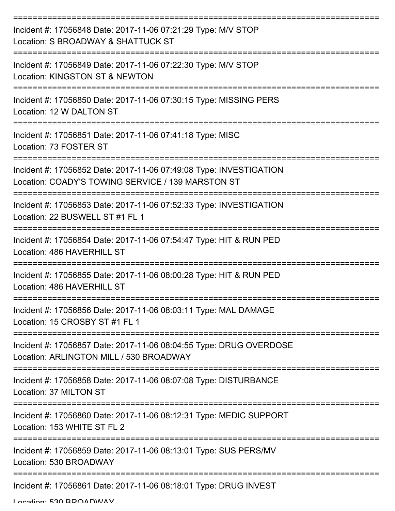| Incident #: 17056848 Date: 2017-11-06 07:21:29 Type: M/V STOP<br>Location: S BROADWAY & SHATTUCK ST                     |
|-------------------------------------------------------------------------------------------------------------------------|
| Incident #: 17056849 Date: 2017-11-06 07:22:30 Type: M/V STOP<br>Location: KINGSTON ST & NEWTON                         |
| Incident #: 17056850 Date: 2017-11-06 07:30:15 Type: MISSING PERS<br>Location: 12 W DALTON ST                           |
| Incident #: 17056851 Date: 2017-11-06 07:41:18 Type: MISC<br>Location: 73 FOSTER ST                                     |
| Incident #: 17056852 Date: 2017-11-06 07:49:08 Type: INVESTIGATION<br>Location: COADY'S TOWING SERVICE / 139 MARSTON ST |
| Incident #: 17056853 Date: 2017-11-06 07:52:33 Type: INVESTIGATION<br>Location: 22 BUSWELL ST #1 FL 1                   |
| Incident #: 17056854 Date: 2017-11-06 07:54:47 Type: HIT & RUN PED<br>Location: 486 HAVERHILL ST                        |
| Incident #: 17056855 Date: 2017-11-06 08:00:28 Type: HIT & RUN PED<br>Location: 486 HAVERHILL ST                        |
| Incident #: 17056856 Date: 2017-11-06 08:03:11 Type: MAL DAMAGE<br>Location: 15 CROSBY ST #1 FL 1                       |
| Incident #: 17056857 Date: 2017-11-06 08:04:55 Type: DRUG OVERDOSE<br>Location: ARLINGTON MILL / 530 BROADWAY           |
| Incident #: 17056858 Date: 2017-11-06 08:07:08 Type: DISTURBANCE<br>Location: 37 MILTON ST                              |
| Incident #: 17056860 Date: 2017-11-06 08:12:31 Type: MEDIC SUPPORT<br>Location: 153 WHITE ST FL 2                       |
| Incident #: 17056859 Date: 2017-11-06 08:13:01 Type: SUS PERS/MV<br>Location: 530 BROADWAY                              |
| Incident #: 17056861 Date: 2017-11-06 08:18:01 Type: DRUG INVEST                                                        |

Location: 530 BBOADWAY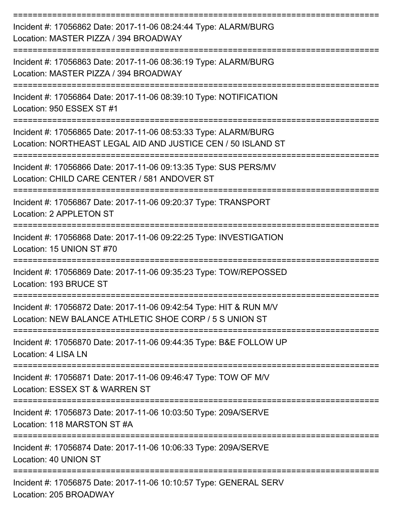| Incident #: 17056862 Date: 2017-11-06 08:24:44 Type: ALARM/BURG<br>Location: MASTER PIZZA / 394 BROADWAY                        |
|---------------------------------------------------------------------------------------------------------------------------------|
| Incident #: 17056863 Date: 2017-11-06 08:36:19 Type: ALARM/BURG<br>Location: MASTER PIZZA / 394 BROADWAY                        |
| Incident #: 17056864 Date: 2017-11-06 08:39:10 Type: NOTIFICATION<br>Location: 950 ESSEX ST #1                                  |
| Incident #: 17056865 Date: 2017-11-06 08:53:33 Type: ALARM/BURG<br>Location: NORTHEAST LEGAL AID AND JUSTICE CEN / 50 ISLAND ST |
| Incident #: 17056866 Date: 2017-11-06 09:13:35 Type: SUS PERS/MV<br>Location: CHILD CARE CENTER / 581 ANDOVER ST                |
| Incident #: 17056867 Date: 2017-11-06 09:20:37 Type: TRANSPORT<br>Location: 2 APPLETON ST                                       |
| Incident #: 17056868 Date: 2017-11-06 09:22:25 Type: INVESTIGATION<br>Location: 15 UNION ST #70                                 |
| Incident #: 17056869 Date: 2017-11-06 09:35:23 Type: TOW/REPOSSED<br>Location: 193 BRUCE ST<br>.---------------------------     |
| Incident #: 17056872 Date: 2017-11-06 09:42:54 Type: HIT & RUN M/V<br>Location: NEW BALANCE ATHLETIC SHOE CORP / 5 S UNION ST   |
| Incident #: 17056870 Date: 2017-11-06 09:44:35 Type: B&E FOLLOW UP<br>Location: 4 LISA LN                                       |
| -------------------------<br>Incident #: 17056871 Date: 2017-11-06 09:46:47 Type: TOW OF M/V<br>Location: ESSEX ST & WARREN ST  |
| Incident #: 17056873 Date: 2017-11-06 10:03:50 Type: 209A/SERVE<br>Location: 118 MARSTON ST #A                                  |
| Incident #: 17056874 Date: 2017-11-06 10:06:33 Type: 209A/SERVE<br>Location: 40 UNION ST                                        |
| Incident #: 17056875 Date: 2017-11-06 10:10:57 Type: GENERAL SERV<br>Location: 205 BROADWAY                                     |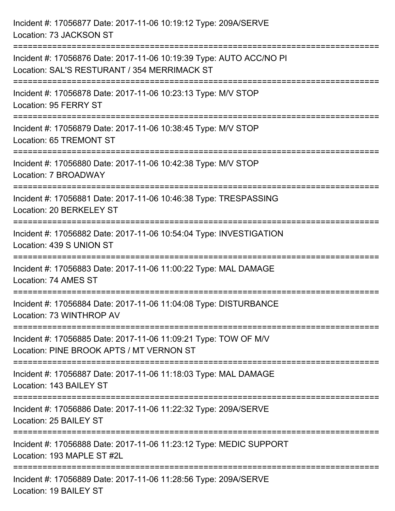| Incident #: 17056877 Date: 2017-11-06 10:19:12 Type: 209A/SERVE<br>Location: 73 JACKSON ST                                |
|---------------------------------------------------------------------------------------------------------------------------|
| Incident #: 17056876 Date: 2017-11-06 10:19:39 Type: AUTO ACC/NO PI<br>Location: SAL'S RESTURANT / 354 MERRIMACK ST       |
| Incident #: 17056878 Date: 2017-11-06 10:23:13 Type: M/V STOP<br>Location: 95 FERRY ST<br>=============================== |
| Incident #: 17056879 Date: 2017-11-06 10:38:45 Type: M/V STOP<br>Location: 65 TREMONT ST                                  |
| Incident #: 17056880 Date: 2017-11-06 10:42:38 Type: M/V STOP<br>Location: 7 BROADWAY<br>-------------------              |
| Incident #: 17056881 Date: 2017-11-06 10:46:38 Type: TRESPASSING<br>Location: 20 BERKELEY ST                              |
| Incident #: 17056882 Date: 2017-11-06 10:54:04 Type: INVESTIGATION<br>Location: 439 S UNION ST                            |
| Incident #: 17056883 Date: 2017-11-06 11:00:22 Type: MAL DAMAGE<br>Location: 74 AMES ST                                   |
| Incident #: 17056884 Date: 2017-11-06 11:04:08 Type: DISTURBANCE<br>Location: 73 WINTHROP AV                              |
| Incident #: 17056885 Date: 2017-11-06 11:09:21 Type: TOW OF M/V<br>Location: PINE BROOK APTS / MT VERNON ST               |
| Incident #: 17056887 Date: 2017-11-06 11:18:03 Type: MAL DAMAGE<br>Location: 143 BAILEY ST                                |
| Incident #: 17056886 Date: 2017-11-06 11:22:32 Type: 209A/SERVE<br>Location: 25 BAILEY ST                                 |
| Incident #: 17056888 Date: 2017-11-06 11:23:12 Type: MEDIC SUPPORT<br>Location: 193 MAPLE ST #2L                          |
| Incident #: 17056889 Date: 2017-11-06 11:28:56 Type: 209A/SERVE<br>Location: 19 BAILEY ST                                 |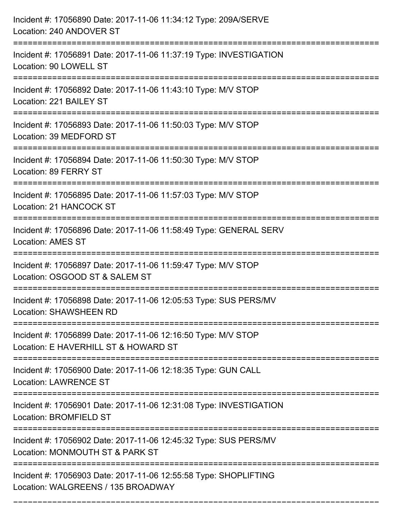| Incident #: 17056890 Date: 2017-11-06 11:34:12 Type: 209A/SERVE<br>Location: 240 ANDOVER ST                          |
|----------------------------------------------------------------------------------------------------------------------|
| Incident #: 17056891 Date: 2017-11-06 11:37:19 Type: INVESTIGATION<br>Location: 90 LOWELL ST                         |
| Incident #: 17056892 Date: 2017-11-06 11:43:10 Type: M/V STOP<br>Location: 221 BAILEY ST<br>:======================= |
| Incident #: 17056893 Date: 2017-11-06 11:50:03 Type: M/V STOP<br>Location: 39 MEDFORD ST                             |
| Incident #: 17056894 Date: 2017-11-06 11:50:30 Type: M/V STOP<br>Location: 89 FERRY ST                               |
| Incident #: 17056895 Date: 2017-11-06 11:57:03 Type: M/V STOP<br>Location: 21 HANCOCK ST                             |
| Incident #: 17056896 Date: 2017-11-06 11:58:49 Type: GENERAL SERV<br><b>Location: AMES ST</b>                        |
| Incident #: 17056897 Date: 2017-11-06 11:59:47 Type: M/V STOP<br>Location: OSGOOD ST & SALEM ST                      |
| Incident #: 17056898 Date: 2017-11-06 12:05:53 Type: SUS PERS/MV<br><b>Location: SHAWSHEEN RD</b>                    |
| Incident #: 17056899 Date: 2017-11-06 12:16:50 Type: M/V STOP<br>Location: E HAVERHILL ST & HOWARD ST                |
| Incident #: 17056900 Date: 2017-11-06 12:18:35 Type: GUN CALL<br><b>Location: LAWRENCE ST</b>                        |
| Incident #: 17056901 Date: 2017-11-06 12:31:08 Type: INVESTIGATION<br>Location: BROMFIELD ST                         |
| Incident #: 17056902 Date: 2017-11-06 12:45:32 Type: SUS PERS/MV<br>Location: MONMOUTH ST & PARK ST                  |
| Incident #: 17056903 Date: 2017-11-06 12:55:58 Type: SHOPLIFTING<br>Location: WALGREENS / 135 BROADWAY               |

===========================================================================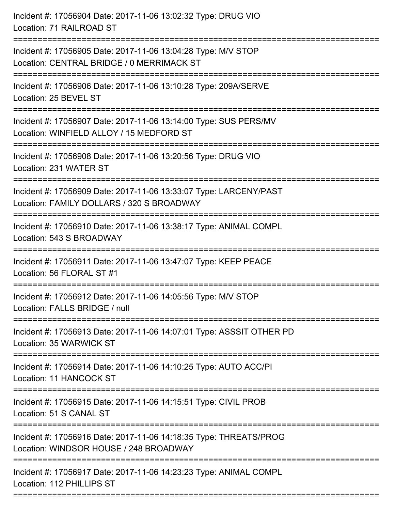| Incident #: 17056904 Date: 2017-11-06 13:02:32 Type: DRUG VIO<br>Location: 71 RAILROAD ST                      |
|----------------------------------------------------------------------------------------------------------------|
| Incident #: 17056905 Date: 2017-11-06 13:04:28 Type: M/V STOP<br>Location: CENTRAL BRIDGE / 0 MERRIMACK ST     |
| Incident #: 17056906 Date: 2017-11-06 13:10:28 Type: 209A/SERVE<br>Location: 25 BEVEL ST                       |
| Incident #: 17056907 Date: 2017-11-06 13:14:00 Type: SUS PERS/MV<br>Location: WINFIELD ALLOY / 15 MEDFORD ST   |
| Incident #: 17056908 Date: 2017-11-06 13:20:56 Type: DRUG VIO<br>Location: 231 WATER ST                        |
| Incident #: 17056909 Date: 2017-11-06 13:33:07 Type: LARCENY/PAST<br>Location: FAMILY DOLLARS / 320 S BROADWAY |
| Incident #: 17056910 Date: 2017-11-06 13:38:17 Type: ANIMAL COMPL<br>Location: 543 S BROADWAY                  |
| Incident #: 17056911 Date: 2017-11-06 13:47:07 Type: KEEP PEACE<br>Location: 56 FLORAL ST #1                   |
| Incident #: 17056912 Date: 2017-11-06 14:05:56 Type: M/V STOP<br>Location: FALLS BRIDGE / null                 |
| Incident #: 17056913 Date: 2017-11-06 14:07:01 Type: ASSSIT OTHER PD<br>Location: 35 WARWICK ST                |
| Incident #: 17056914 Date: 2017-11-06 14:10:25 Type: AUTO ACC/PI<br>Location: 11 HANCOCK ST                    |
| Incident #: 17056915 Date: 2017-11-06 14:15:51 Type: CIVIL PROB<br>Location: 51 S CANAL ST                     |
| Incident #: 17056916 Date: 2017-11-06 14:18:35 Type: THREATS/PROG<br>Location: WINDSOR HOUSE / 248 BROADWAY    |
| Incident #: 17056917 Date: 2017-11-06 14:23:23 Type: ANIMAL COMPL<br>Location: 112 PHILLIPS ST                 |
|                                                                                                                |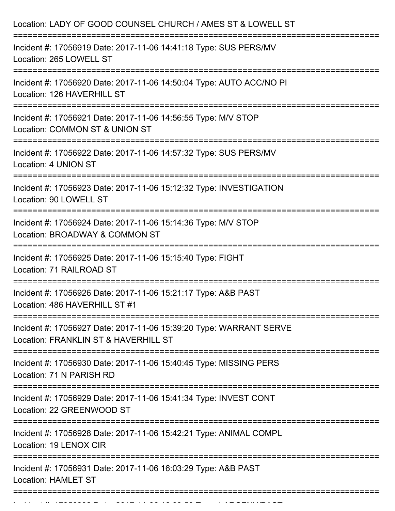| Location: LADY OF GOOD COUNSEL CHURCH / AMES ST & LOWELL ST                                                                                     |
|-------------------------------------------------------------------------------------------------------------------------------------------------|
| Incident #: 17056919 Date: 2017-11-06 14:41:18 Type: SUS PERS/MV<br>Location: 265 LOWELL ST                                                     |
| Incident #: 17056920 Date: 2017-11-06 14:50:04 Type: AUTO ACC/NO PI<br>Location: 126 HAVERHILL ST                                               |
| Incident #: 17056921 Date: 2017-11-06 14:56:55 Type: M/V STOP<br>Location: COMMON ST & UNION ST                                                 |
| Incident #: 17056922 Date: 2017-11-06 14:57:32 Type: SUS PERS/MV<br>Location: 4 UNION ST                                                        |
| Incident #: 17056923 Date: 2017-11-06 15:12:32 Type: INVESTIGATION<br>Location: 90 LOWELL ST                                                    |
| Incident #: 17056924 Date: 2017-11-06 15:14:36 Type: M/V STOP<br>Location: BROADWAY & COMMON ST                                                 |
| Incident #: 17056925 Date: 2017-11-06 15:15:40 Type: FIGHT<br>Location: 71 RAILROAD ST                                                          |
| Incident #: 17056926 Date: 2017-11-06 15:21:17 Type: A&B PAST<br>Location: 486 HAVERHILL ST #1                                                  |
| ;================================<br>Incident #: 17056927 Date: 2017-11-06 15:39:20 Type: WARRANT SERVE<br>Location: FRANKLIN ST & HAVERHILL ST |
| Incident #: 17056930 Date: 2017-11-06 15:40:45 Type: MISSING PERS<br>Location: 71 N PARISH RD                                                   |
| Incident #: 17056929 Date: 2017-11-06 15:41:34 Type: INVEST CONT<br>Location: 22 GREENWOOD ST                                                   |
| ==============<br>Incident #: 17056928 Date: 2017-11-06 15:42:21 Type: ANIMAL COMPL<br>Location: 19 LENOX CIR                                   |
| Incident #: 17056931 Date: 2017-11-06 16:03:29 Type: A&B PAST<br><b>Location: HAMLET ST</b>                                                     |
|                                                                                                                                                 |

Incident #: 1705693 Date: 2017 11 06 16:09:53 Type: 2017 12 06 16:09:53 Type: 2017 12 06 1706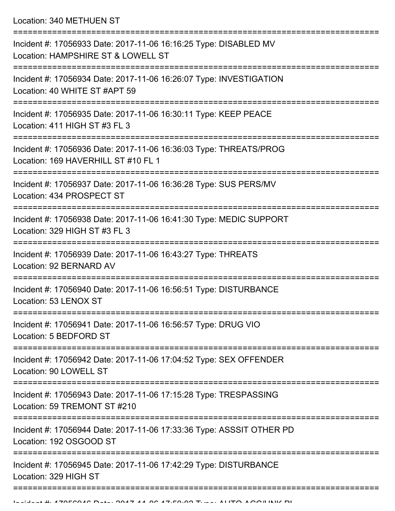Location: 340 METHUEN ST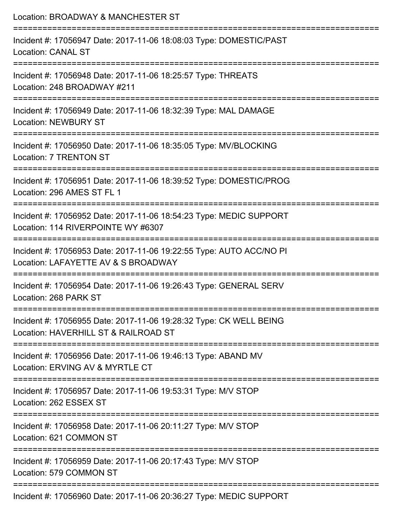| Location: BROADWAY & MANCHESTER ST                                                                         |
|------------------------------------------------------------------------------------------------------------|
| Incident #: 17056947 Date: 2017-11-06 18:08:03 Type: DOMESTIC/PAST<br><b>Location: CANAL ST</b>            |
| Incident #: 17056948 Date: 2017-11-06 18:25:57 Type: THREATS<br>Location: 248 BROADWAY #211                |
| Incident #: 17056949 Date: 2017-11-06 18:32:39 Type: MAL DAMAGE<br><b>Location: NEWBURY ST</b>             |
| Incident #: 17056950 Date: 2017-11-06 18:35:05 Type: MV/BLOCKING<br><b>Location: 7 TRENTON ST</b>          |
| Incident #: 17056951 Date: 2017-11-06 18:39:52 Type: DOMESTIC/PROG<br>Location: 296 AMES ST FL 1           |
| Incident #: 17056952 Date: 2017-11-06 18:54:23 Type: MEDIC SUPPORT<br>Location: 114 RIVERPOINTE WY #6307   |
| Incident #: 17056953 Date: 2017-11-06 19:22:55 Type: AUTO ACC/NO PI<br>Location: LAFAYETTE AV & S BROADWAY |
| Incident #: 17056954 Date: 2017-11-06 19:26:43 Type: GENERAL SERV<br>Location: 268 PARK ST                 |
| Incident #: 17056955 Date: 2017-11-06 19:28:32 Type: CK WELL BEING<br>Location: HAVERHILL ST & RAILROAD ST |
| Incident #: 17056956 Date: 2017-11-06 19:46:13 Type: ABAND MV<br>Location: ERVING AV & MYRTLE CT           |
| Incident #: 17056957 Date: 2017-11-06 19:53:31 Type: M/V STOP<br>Location: 262 ESSEX ST                    |
| Incident #: 17056958 Date: 2017-11-06 20:11:27 Type: M/V STOP<br>Location: 621 COMMON ST                   |
| Incident #: 17056959 Date: 2017-11-06 20:17:43 Type: M/V STOP<br>Location: 579 COMMON ST                   |
| Incident #: 17056960 Date: 2017-11-06 20:36:27 Type: MEDIC SUPPORT                                         |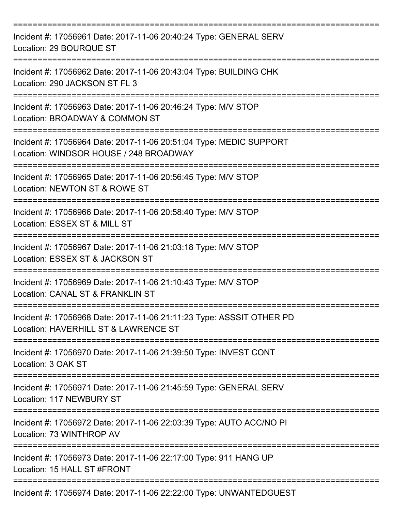| Incident #: 17056961 Date: 2017-11-06 20:40:24 Type: GENERAL SERV<br>Location: 29 BOURQUE ST                            |
|-------------------------------------------------------------------------------------------------------------------------|
| Incident #: 17056962 Date: 2017-11-06 20:43:04 Type: BUILDING CHK<br>Location: 290 JACKSON ST FL 3                      |
| Incident #: 17056963 Date: 2017-11-06 20:46:24 Type: M/V STOP<br>Location: BROADWAY & COMMON ST                         |
| Incident #: 17056964 Date: 2017-11-06 20:51:04 Type: MEDIC SUPPORT<br>Location: WINDSOR HOUSE / 248 BROADWAY            |
| Incident #: 17056965 Date: 2017-11-06 20:56:45 Type: M/V STOP<br>Location: NEWTON ST & ROWE ST                          |
| Incident #: 17056966 Date: 2017-11-06 20:58:40 Type: M/V STOP<br>Location: ESSEX ST & MILL ST                           |
| Incident #: 17056967 Date: 2017-11-06 21:03:18 Type: M/V STOP<br>Location: ESSEX ST & JACKSON ST                        |
| Incident #: 17056969 Date: 2017-11-06 21:10:43 Type: M/V STOP<br>Location: CANAL ST & FRANKLIN ST<br>:================= |
| Incident #: 17056968 Date: 2017-11-06 21:11:23 Type: ASSSIT OTHER PD<br>Location: HAVERHILL ST & LAWRENCE ST            |
| Incident #: 17056970 Date: 2017-11-06 21:39:50 Type: INVEST CONT<br>Location: 3 OAK ST                                  |
| Incident #: 17056971 Date: 2017-11-06 21:45:59 Type: GENERAL SERV<br>Location: 117 NEWBURY ST                           |
| Incident #: 17056972 Date: 2017-11-06 22:03:39 Type: AUTO ACC/NO PI<br>Location: 73 WINTHROP AV                         |
| Incident #: 17056973 Date: 2017-11-06 22:17:00 Type: 911 HANG UP<br>Location: 15 HALL ST #FRONT                         |
| Incident #: 17056974 Date: 2017-11-06 22:22:00 Type: UNWANTEDGUEST                                                      |